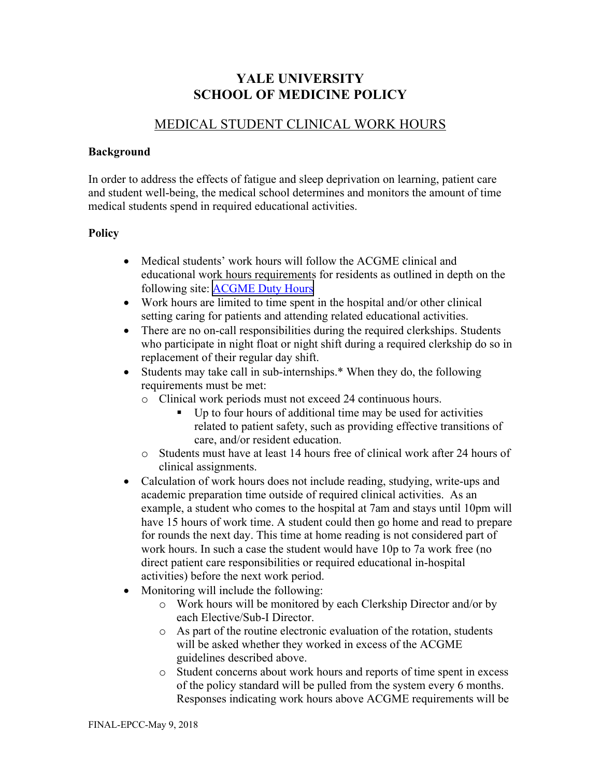## **YALE UNIVERSITY SCHOOL OF MEDICINE POLICY**

## MEDICAL STUDENT CLINICAL WORK HOURS

## **Background**

In order to address the effects of fatigue and sleep deprivation on learning, patient care and student well-being, the medical school determines and monitors the amount of time medical students spend in required educational activities.

## **Policy**

- Medical students' work hours will follow the ACGME clinical and educational work hours requirements for residents as outlined in depth on the following site: [ACGME Duty Hours](https://www.acgme.org/globalassets/pdfs/jgme-monograph1.pdf)
- Work hours are limited to time spent in the hospital and/or other clinical setting caring for patients and attending related educational activities.
- There are no on-call responsibilities during the required clerkships. Students who participate in night float or night shift during a required clerkship do so in replacement of their regular day shift.
- Students may take call in sub-internships.\* When they do, the following requirements must be met:
	- o Clinical work periods must not exceed 24 continuous hours.
		- Up to four hours of additional time may be used for activities related to patient safety, such as providing effective transitions of care, and/or resident education.
	- o Students must have at least 14 hours free of clinical work after 24 hours of clinical assignments.
- Calculation of work hours does not include reading, studying, write-ups and academic preparation time outside of required clinical activities. As an example, a student who comes to the hospital at 7am and stays until 10pm will have 15 hours of work time. A student could then go home and read to prepare for rounds the next day. This time at home reading is not considered part of work hours. In such a case the student would have 10p to 7a work free (no direct patient care responsibilities or required educational in-hospital activities) before the next work period.
- Monitoring will include the following:
	- o Work hours will be monitored by each Clerkship Director and/or by each Elective/Sub-I Director.
	- o As part of the routine electronic evaluation of the rotation, students will be asked whether they worked in excess of the ACGME guidelines described above.
	- o Student concerns about work hours and reports of time spent in excess of the policy standard will be pulled from the system every 6 months. Responses indicating work hours above ACGME requirements will be